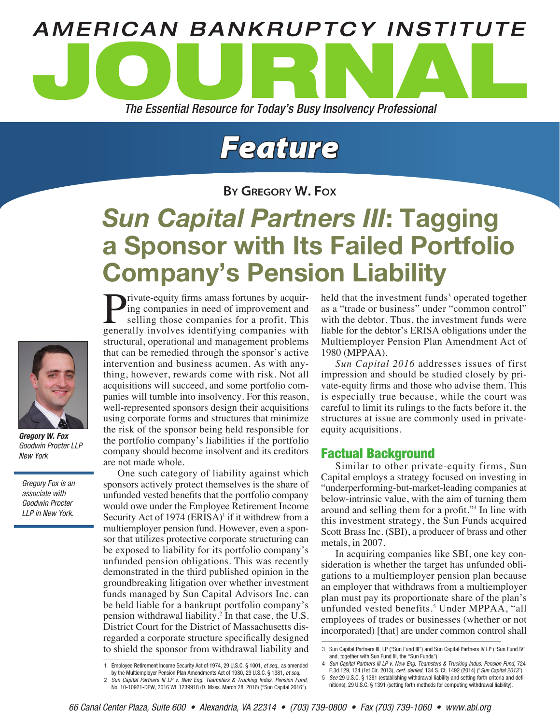

# *Feature*

**By Gregory W. Fox**

# *Sun Capital Partners III*: Tagging a Sponsor with Its Failed Portfolio Company's Pension Liability



*Gregory W. Fox Goodwin Procter LLP New York*

*Gregory Fox is an associate with Goodwin Procter LLP in New York.*

Private-equity firms amass fortunes by acquiring companies in need of improvement and selling those companies for a profit. This generally involves identifying companies with structural, operational and management problems that can be remedied through the sponsor's active intervention and business acumen. As with anything, however, rewards come with risk. Not all acquisitions will succeed, and some portfolio companies will tumble into insolvency. For this reason, well-represented sponsors design their acquisitions using corporate forms and structures that minimize the risk of the sponsor being held responsible for the portfolio company's liabilities if the portfolio company should become insolvent and its creditors are not made whole.

One such category of liability against which sponsors actively protect themselves is the share of unfunded vested benefits that the portfolio company would owe under the Employee Retirement Income Security Act of 1974 (ERISA)<sup>1</sup> if it withdrew from a multiemployer pension fund. However, even a sponsor that utilizes protective corporate structuring can be exposed to liability for its portfolio company's unfunded pension obligations. This was recently demonstrated in the third published opinion in the groundbreaking litigation over whether investment funds managed by Sun Capital Advisors Inc. can be held liable for a bankrupt portfolio company's pension withdrawal liability.<sup>2</sup> In that case, the U.S. District Court for the District of Massachusetts disregarded a corporate structure specifically designed to shield the sponsor from withdrawal liability and

2 *Sun Capital Partners III LP v. New Eng. Teamsters & Trucking Indus. Pension Fund*, No. 10-10921-DPW, 2016 WL 1239918 (D. Mass. March 28, 2016) ("Sun Capital 2016").

held that the investment funds<sup>3</sup> operated together as a "trade or business" under "common control" with the debtor. Thus, the investment funds were liable for the debtor's ERISA obligations under the Multiemployer Pension Plan Amendment Act of 1980 (MPPAA).

*Sun Capital 2016* addresses issues of first impression and should be studied closely by private-equity firms and those who advise them. This is especially true because, while the court was careful to limit its rulings to the facts before it, the structures at issue are commonly used in privateequity acquisitions.

# Factual Background

Similar to other private-equity firms, Sun Capital employs a strategy focused on investing in "underperforming-but-market-leading companies at below-intrinsic value, with the aim of turning them around and selling them for a profit."4 In line with this investment strategy, the Sun Funds acquired Scott Brass Inc. (SBI), a producer of brass and other metals, in 2007.

In acquiring companies like SBI, one key consideration is whether the target has unfunded obligations to a multiemployer pension plan because an employer that withdraws from a multiemployer plan must pay its proportionate share of the plan's unfunded vested benefits.<sup>5</sup> Under MPPAA, "all employees of trades or businesses (whether or not incorporated) [that] are under common control shall

<sup>1</sup> Employee Retirement Income Security Act of 1974, 29 U.S.C. § 1001, *et seq.*, as amended

by the Multiemployer Pension Plan Amendments Act of 1980, 29 U.S.C. § 1381, *et seq*.

<sup>3</sup> Sun Capital Partners III, LP ("Sun Fund III") and Sun Capital Partners IV LP ("Sun Fund IV" and, together with Sun Fund III, the "Sun Funds").

<sup>4</sup> *Sun Capital Partners III LP v. New Eng. Teamsters & Trucking Indus. Pension Fund*, 724 F.3d 129, 134 (1st Cir. 2013), *cert. denied*, 134 S. Ct. 1492 (2014) ("*Sun Capital 2013*").

<sup>5</sup> *See* 29 U.S.C. § 1381 (establishing withdrawal liability and setting forth criteria and definitions); 29 U.S.C. § 1391 (setting forth methods for computing withdrawal liability).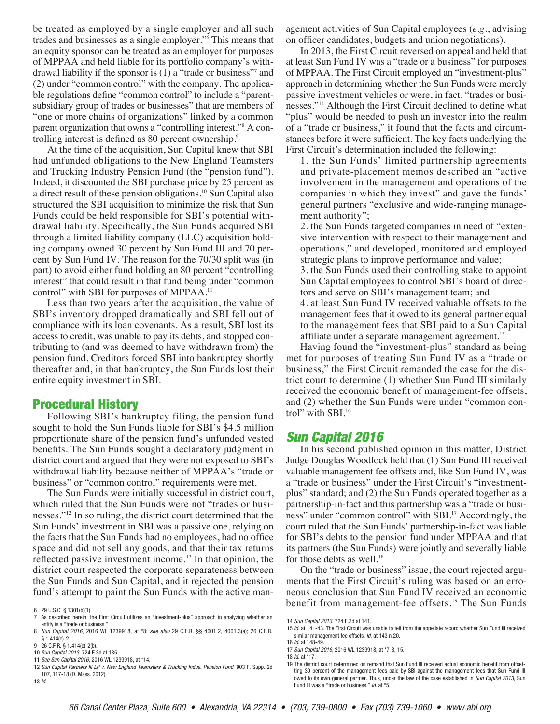be treated as employed by a single employer and all such trades and businesses as a single employer."<sup>6</sup> This means that an equity sponsor can be treated as an employer for purposes of MPPAA and held liable for its portfolio company's withdrawal liability if the sponsor is (1) a "trade or business"7 and (2) under "common control" with the company. The applicable regulations define "common control" to include a "parentsubsidiary group of trades or businesses" that are members of "one or more chains of organizations" linked by a common parent organization that owns a "controlling interest."<sup>8</sup> A controlling interest is defined as 80 percent ownership.<sup>9</sup>

At the time of the acquisition, Sun Capital knew that SBI had unfunded obligations to the New England Teamsters and Trucking Industry Pension Fund (the "pension fund"). Indeed, it discounted the SBI purchase price by 25 percent as a direct result of these pension obligations.10 Sun Capital also structured the SBI acquisition to minimize the risk that Sun Funds could be held responsible for SBI's potential withdrawal liability. Specifically, the Sun Funds acquired SBI through a limited liability company (LLC) acquisition holding company owned 30 percent by Sun Fund III and 70 percent by Sun Fund IV. The reason for the 70/30 split was (in part) to avoid either fund holding an 80 percent "controlling interest" that could result in that fund being under "common control" with SBI for purposes of MPPAA.<sup>11</sup>

Less than two years after the acquisition, the value of SBI's inventory dropped dramatically and SBI fell out of compliance with its loan covenants. As a result, SBI lost its access to credit, was unable to pay its debts, and stopped contributing to (and was deemed to have withdrawn from) the pension fund. Creditors forced SBI into bankruptcy shortly thereafter and, in that bankruptcy, the Sun Funds lost their entire equity investment in SBI.

#### Procedural History

Following SBI's bankruptcy filing, the pension fund sought to hold the Sun Funds liable for SBI's \$4.5 million proportionate share of the pension fund's unfunded vested benefits. The Sun Funds sought a declaratory judgment in district court and argued that they were not exposed to SBI's withdrawal liability because neither of MPPAA's "trade or business" or "common control" requirements were met.

The Sun Funds were initially successful in district court, which ruled that the Sun Funds were not "trades or businesses."12 In so ruling, the district court determined that the Sun Funds' investment in SBI was a passive one, relying on the facts that the Sun Funds had no employees, had no office space and did not sell any goods, and that their tax returns reflected passive investment income.<sup>13</sup> In that opinion, the district court respected the corporate separateness between the Sun Funds and Sun Capital, and it rejected the pension fund's attempt to paint the Sun Funds with the active man-

13 *Id*.

agement activities of Sun Capital employees (*e.g.*, advising on officer candidates, budgets and union negotiations).

In 2013, the First Circuit reversed on appeal and held that at least Sun Fund IV was a "trade or a business" for purposes of MPPAA. The First Circuit employed an "investment-plus" approach in determining whether the Sun Funds were merely passive investment vehicles or were, in fact, "trades or businesses."14 Although the First Circuit declined to define what "plus" would be needed to push an investor into the realm of a "trade or business," it found that the facts and circumstances before it were sufficient. The key facts underlying the First Circuit's determination included the following:

1. the Sun Funds' limited partnership agreements and private-placement memos described an "active involvement in the management and operations of the companies in which they invest" and gave the funds' general partners "exclusive and wide-ranging management authority";

2. the Sun Funds targeted companies in need of "extensive intervention with respect to their management and operations," and developed, monitored and employed strategic plans to improve performance and value;

3. the Sun Funds used their controlling stake to appoint Sun Capital employees to control SBI's board of directors and serve on SBI's management team; and

4. at least Sun Fund IV received valuable offsets to the management fees that it owed to its general partner equal to the management fees that SBI paid to a Sun Capital affiliate under a separate management agreement.<sup>15</sup>

Having found the "investment-plus" standard as being met for purposes of treating Sun Fund IV as a "trade or business," the First Circuit remanded the case for the district court to determine (1) whether Sun Fund III similarly received the economic benefit of management-fee offsets, and (2) whether the Sun Funds were under "common control" with SBI.<sup>16</sup>

# *Sun Capital 2016*

In his second published opinion in this matter, District Judge Douglas Woodlock held that (1) Sun Fund III received valuable management fee offsets and, like Sun Fund IV, was a "trade or business" under the First Circuit's "investmentplus" standard; and (2) the Sun Funds operated together as a partnership-in-fact and this partnership was a "trade or business" under "common control" with SBI.<sup>17</sup> Accordingly, the court ruled that the Sun Funds' partnership-in-fact was liable for SBI's debts to the pension fund under MPPAA and that its partners (the Sun Funds) were jointly and severally liable for those debts as well.<sup>18</sup>

On the "trade or business" issue, the court rejected arguments that the First Circuit's ruling was based on an erroneous conclusion that Sun Fund IV received an economic benefit from management-fee offsets.<sup>19</sup> The Sun Funds

<sup>6</sup> 29 U.S.C. § 1301(b)(1).

<sup>7</sup> As described herein, the First Circuit utilizes an "investment-plus" approach in analyzing whether an entity is a "trade or business."

<sup>8</sup> *Sun Capital 2016*, 2016 WL 1239918, at \*8; *see also* 29 C.F.R. §§ 4001.2, 4001.3(a); 26 C.F.R. § 1.414(c)-2.

<sup>9</sup> 26 C.F.R. § 1.414(c)-2(b). 10 *Sun Capital 2013*, 724 F.3d at 135.

<sup>11</sup> *See Sun Capital 2016*, 2016 WL 1239918, at \*14.

<sup>12</sup> *Sun Capital Partners III LP v. New England Teamsters & Trucking Indus. Pension Fund*, 903 F. Supp. 2d 107, 117-18 (D. Mass. 2012).

<sup>14</sup> *Sun Capital 2013*, 724 F.3d at 141.

<sup>15</sup> *Id*. at 141-43. The First Circuit was unable to tell from the appellate record whether Sun Fund III received similar management fee offsets. *Id*. at 143 n.20.

<sup>16</sup> *Id*. at 148-49.

<sup>17</sup> *Sun Capital 2016*, 2016 WL 1239918, at \*7-8, 15.

<sup>18</sup> *Id*. at \*17.

<sup>19</sup> The district court determined on remand that Sun Fund III received actual economic benefit from offsetting 30 percent of the management fees paid by SBI against the management fees that Sun Fund III owed to its own general partner. Thus, under the law of the case established in *Sun Capital 2013*, Sun Fund III was a "trade or business." *Id*. at \*5.